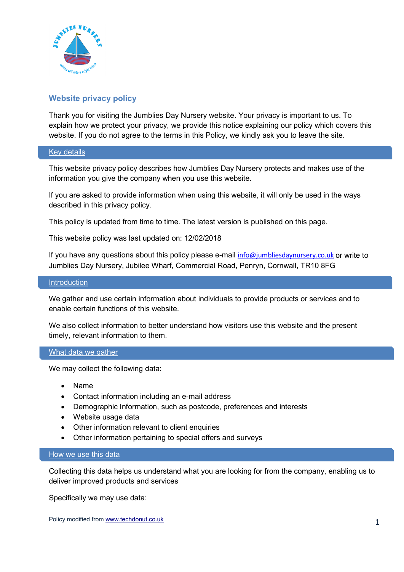

# **Website privacy policy**

Thank you for visiting the Jumblies Day Nursery website. Your privacy is important to us. To explain how we protect your privacy, we provide this notice explaining our policy which covers this website. If you do not agree to the terms in this Policy, we kindly ask you to leave the site.

### Key details

This website privacy policy describes how Jumblies Day Nursery protects and makes use of the information you give the company when you use this website.

If you are asked to provide information when using this website, it will only be used in the ways described in this privacy policy.

This policy is updated from time to time. The latest version is published on this page.

This website policy was last updated on: 12/02/2018

If you have any questions about this policy please e-mail [info@jumbliesdaynursery.co.uk](mailto:info@jumbliesdaynursery.co.uk) or write to Jumblies Day Nursery, Jubilee Wharf, Commercial Road, Penryn, Cornwall, TR10 8FG

#### **Introduction**

We gather and use certain information about individuals to provide products or services and to enable certain functions of this website.

We also collect information to better understand how visitors use this website and the present timely, relevant information to them.

### What data we gather

We may collect the following data:

- Name
- Contact information including an e-mail address
- Demographic Information, such as postcode, preferences and interests
- Website usage data
- Other information relevant to client enquiries
- Other information pertaining to special offers and surveys

#### How we use this data

Collecting this data helps us understand what you are looking for from the company, enabling us to deliver improved products and services

Specifically we may use data: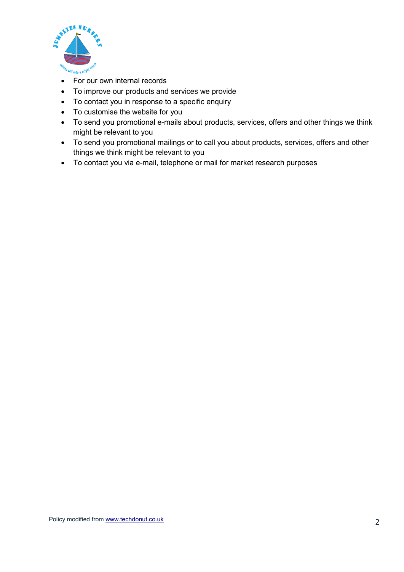

- For our own internal records
- To improve our products and services we provide
- To contact you in response to a specific enquiry
- To customise the website for you
- To send you promotional e-mails about products, services, offers and other things we think might be relevant to you
- To send you promotional mailings or to call you about products, services, offers and other things we think might be relevant to you
- To contact you via e-mail, telephone or mail for market research purposes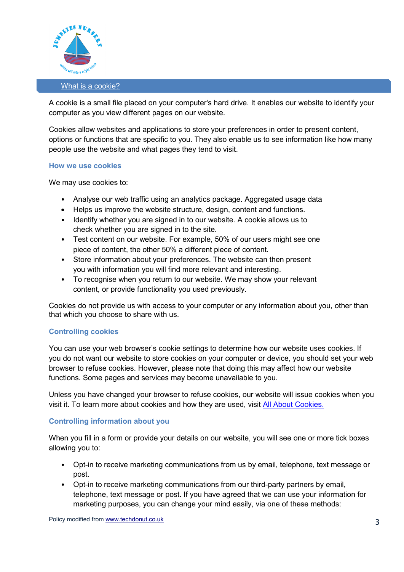

#### What is a cookie?

A cookie is a small file placed on your computer's hard drive. It enables our website to identify your computer as you view different pages on our website.

Cookies allow websites and applications to store your preferences in order to present content, options or functions that are specific to you. They also enable us to see information like how many people use the website and what pages they tend to visit.

#### **How we use cookies**

We may use cookies to:

- Analyse our web traffic using an analytics package. Aggregated usage data
- Helps us improve the website structure, design, content and functions.
- Identify whether you are signed in to our website. A cookie allows us to check whether you are signed in to the site.
- Test content on our website. For example, 50% of our users might see one piece of content, the other 50% a different piece of content.
- Store information about your preferences. The website can then present you with information you will find more relevant and interesting.
- To recognise when you return to our website. We may show your relevant content, or provide functionality you used previously.

Cookies do not provide us with access to your computer or any information about you, other than that which you choose to share with us.

## **Controlling cookies**

You can use your web browser's cookie settings to determine how our website uses cookies. If you do not want our website to store cookies on your computer or device, you should set your web browser to refuse cookies. However, please note that doing this may affect how our website functions. Some pages and services may become unavailable to you.

Unless you have changed your browser to refuse cookies, our website will issue cookies when you visit it. To learn more about cookies and how they are used, visit [All About Cookies.](http://www.whatarecookies.com/)

### **Controlling information about you**

When you fill in a form or provide your details on our website, you will see one or more tick boxes allowing you to:

- Opt-in to receive marketing communications from us by email, telephone, text message or post.
- Opt-in to receive marketing communications from our third-party partners by email, telephone, text message or post. If you have agreed that we can use your information for marketing purposes, you can change your mind easily, via one of these methods: